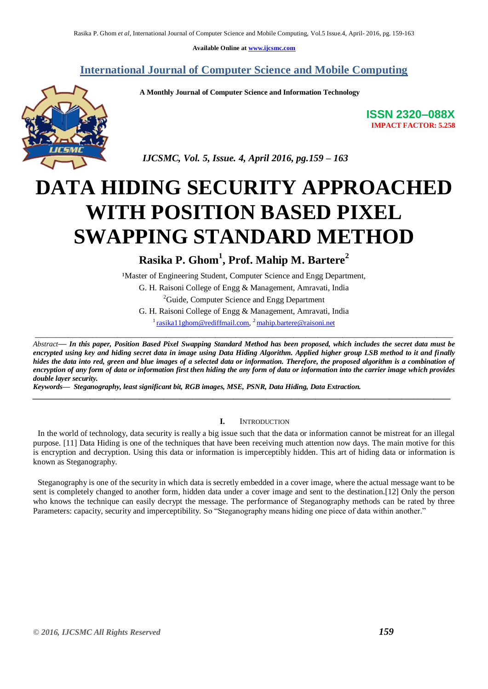**Available Online at www.ijcsmc.com**

### **International Journal of Computer Science and Mobile Computing**

 **A Monthly Journal of Computer Science and Information Technology**



**ISSN 2320–088X IMPACT FACTOR: 5.258**

 *IJCSMC, Vol. 5, Issue. 4, April 2016, pg.159 – 163*

# **DATA HIDING SECURITY APPROACHED WITH POSITION BASED PIXEL SWAPPING STANDARD METHOD**

## **Rasika P. Ghom<sup>1</sup> , Prof. Mahip M. Bartere<sup>2</sup>**

<sup>1</sup>Master of Engineering Student, Computer Science and Engg Department,

G. H. Raisoni College of Engg & Management, Amravati, India

<sup>2</sup>Guide, Computer Science and Engg Department

G. H. Raisoni College of Engg & Management, Amravati, India <sup>1</sup> rasika 1 1 ghom @ rediffmail.com, <sup>2</sup> mahip.bartere @ raisoni.net

\_\_\_\_\_\_\_\_\_\_\_\_\_\_\_\_\_\_\_\_\_\_\_\_\_\_\_\_\_\_\_\_\_\_\_\_\_\_\_\_\_\_\_\_\_\_\_\_\_\_\_\_\_\_\_\_\_\_\_\_\_\_\_\_\_\_\_\_\_\_\_\_\_\_\_\_\_\_\_\_\_\_\_\_\_\_\_\_\_\_\_\_\_\_\_\_\_\_\_\_\_\_

*Abstract— In this paper, Position Based Pixel Swapping Standard Method has been proposed, which includes the secret data must be encrypted using key and hiding secret data in image using Data Hiding Algorithm. Applied higher group LSB method to it and finally hides the data into red, green and blue images of a selected data or information. Therefore, the proposed algorithm is a combination of encryption of any form of data or information first then hiding the any form of data or information into the carrier image which provides double layer security.*

*\_\_\_\_\_\_\_\_\_\_\_\_\_\_\_\_\_\_\_\_\_\_\_\_\_\_\_\_\_\_\_\_\_\_\_\_\_\_\_\_\_\_\_\_\_\_\_\_\_\_\_\_\_\_\_\_\_\_\_\_\_\_\_\_\_\_\_\_\_\_\_\_\_\_\_\_\_\_\_\_\_\_\_\_\_\_\_\_\_\_\_\_\_\_\_\_\_\_\_\_\_\_*

*Keywords— Steganography, least significant bit, RGB images, MSE, PSNR, Data Hiding, Data Extraction.*

#### **I.** INTRODUCTION

 In the world of technology, data security is really a big issue such that the data or information cannot be mistreat for an illegal purpose. [11] Data Hiding is one of the techniques that have been receiving much attention now days. The main motive for this is encryption and decryption. Using this data or information is imperceptibly hidden. This art of hiding data or information is known as Steganography.

 Steganography is one of the security in which data is secretly embedded in a cover image, where the actual message want to be sent is completely changed to another form, hidden data under a cover image and sent to the destination.[12] Only the person who knows the technique can easily decrypt the message. The performance of Steganography methods can be rated by three Parameters: capacity, security and imperceptibility. So "Steganography means hiding one piece of data within another."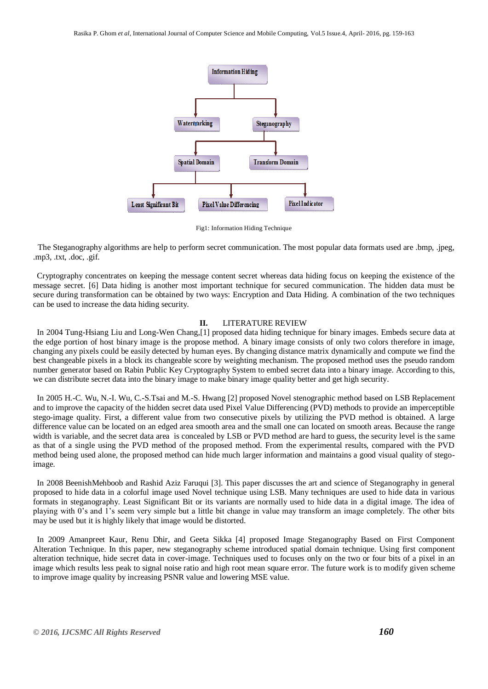

Fig1: Information Hiding Technique

 The Steganography algorithms are help to perform secret communication. The most popular data formats used are .bmp, .jpeg, .mp3, .txt, .doc, .gif.

Cryptography concentrates on keeping the message content secret whereas data hiding focus on keeping the existence of the message secret. [6] Data hiding is another most important technique for secured communication. The hidden data must be secure during transformation can be obtained by two ways: Encryption and Data Hiding. A combination of the two techniques can be used to increase the data hiding security.

#### **II.** LITERATURE REVIEW

 In 2004 Tung-Hsiang Liu and Long-Wen Chang,[1] proposed data hiding technique for binary images. Embeds secure data at the edge portion of host binary image is the propose method. A binary image consists of only two colors therefore in image, changing any pixels could be easily detected by human eyes. By changing distance matrix dynamically and compute we find the best changeable pixels in a block its changeable score by weighting mechanism. The proposed method uses the pseudo random number generator based on Rabin Public Key Cryptography System to embed secret data into a binary image. According to this, we can distribute secret data into the binary image to make binary image quality better and get high security.

 In 2005 H.-C. Wu, N.-I. Wu, C.-S.Tsai and M.-S. Hwang [2] proposed Novel stenographic method based on LSB Replacement and to improve the capacity of the hidden secret data used Pixel Value Differencing (PVD) methods to provide an imperceptible stego-image quality. First, a different value from two consecutive pixels by utilizing the PVD method is obtained. A large difference value can be located on an edged area smooth area and the small one can located on smooth areas. Because the range width is variable, and the secret data area is concealed by LSB or PVD method are hard to guess, the security level is the same as that of a single using the PVD method of the proposed method. From the experimental results, compared with the PVD method being used alone, the proposed method can hide much larger information and maintains a good visual quality of stegoimage.

 In 2008 BeenishMehboob and Rashid Aziz Faruqui [3]. This paper discusses the art and science of Steganography in general proposed to hide data in a colorful image used Novel technique using LSB. Many techniques are used to hide data in various formats in steganography. Least Significant Bit or its variants are normally used to hide data in a digital image. The idea of playing with 0's and 1's seem very simple but a little bit change in value may transform an image completely. The other bits may be used but it is highly likely that image would be distorted.

 In 2009 Amanpreet Kaur, Renu Dhir, and Geeta Sikka [4] proposed Image Steganography Based on First Component Alteration Technique. In this paper, new steganography scheme introduced spatial domain technique. Using first component alteration technique, hide secret data in cover-image. Techniques used to focuses only on the two or four bits of a pixel in an image which results less peak to signal noise ratio and high root mean square error. The future work is to modify given scheme to improve image quality by increasing PSNR value and lowering MSE value.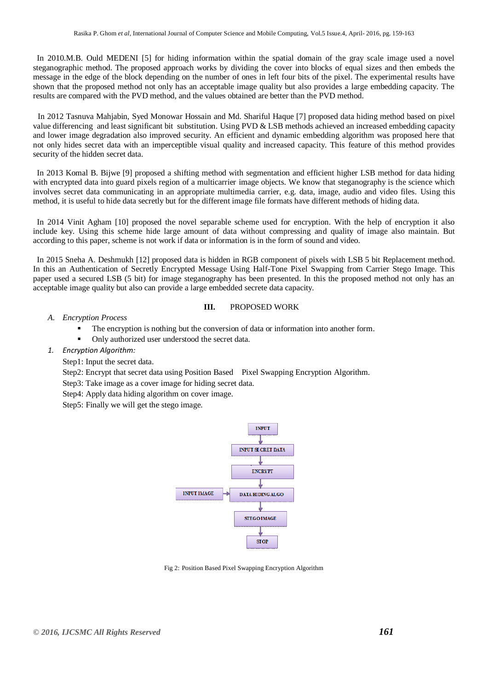In 2010.M.B. Ould MEDENI [5] for hiding information within the spatial domain of the gray scale image used a novel steganographic method. The proposed approach works by dividing the cover into blocks of equal sizes and then embeds the message in the edge of the block depending on the number of ones in left four bits of the pixel. The experimental results have shown that the proposed method not only has an acceptable image quality but also provides a large embedding capacity. The results are compared with the PVD method, and the values obtained are better than the PVD method.

 In 2012 Tasnuva Mahjabin, Syed Monowar Hossain and Md. Shariful Haque [7] proposed data hiding method based on pixel value differencing and least significant bit substitution. Using PVD & LSB methods achieved an increased embedding capacity and lower image degradation also improved security. An efficient and dynamic embedding algorithm was proposed here that not only hides secret data with an imperceptible visual quality and increased capacity. This feature of this method provides security of the hidden secret data.

 In 2013 Komal B. Bijwe [9] proposed a shifting method with segmentation and efficient higher LSB method for data hiding with encrypted data into guard pixels region of a multicarrier image objects. We know that steganography is the science which involves secret data communicating in an appropriate multimedia carrier, e.g. data, image, audio and video files. Using this method, it is useful to hide data secretly but for the different image file formats have different methods of hiding data.

 In 2014 Vinit Agham [10] proposed the novel separable scheme used for encryption. With the help of encryption it also include key. Using this scheme hide large amount of data without compressing and quality of image also maintain. But according to this paper, scheme is not work if data or information is in the form of sound and video.

 In 2015 Sneha A. Deshmukh [12] proposed data is hidden in RGB component of pixels with LSB 5 bit Replacement method. In this an Authentication of Secretly Encrypted Message Using Half-Tone Pixel Swapping from Carrier Stego Image. This paper used a secured LSB (5 bit) for image steganography has been presented. In this the proposed method not only has an acceptable image quality but also can provide a large embedded secrete data capacity.

#### **III.** PROPOSED WORK

#### *A. Encryption Process*

- The encryption is nothing but the conversion of data or information into another form.
- Only authorized user understood the secret data.
- *1. Encryption Algorithm:*
	- Step1: Input the secret data.
	- Step2: Encrypt that secret data using Position Based Pixel Swapping Encryption Algorithm.
	- Step3: Take image as a cover image for hiding secret data.
	- Step4: Apply data hiding algorithm on cover image.
	- Step5: Finally we will get the stego image.



Fig 2: Position Based Pixel Swapping Encryption Algorithm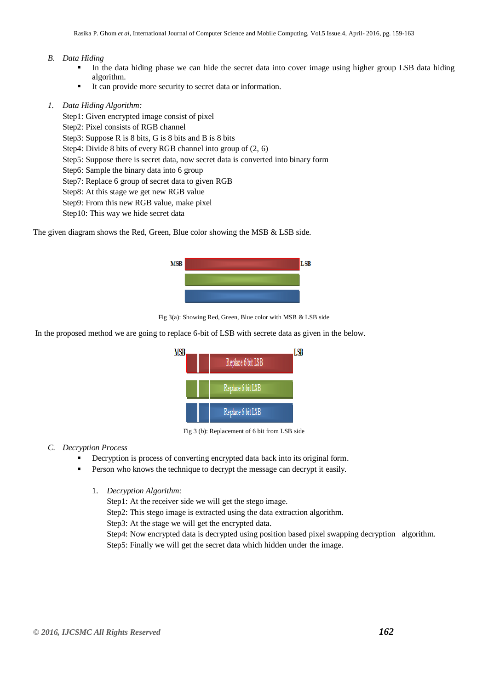#### *B. Data Hiding*

- In the data hiding phase we can hide the secret data into cover image using higher group LSB data hiding algorithm.
- It can provide more security to secret data or information.

#### *1. Data Hiding Algorithm:*

- Step1: Given encrypted image consist of pixel
- Step2: Pixel consists of RGB channel
- Step3: Suppose R is 8 bits, G is 8 bits and B is 8 bits
- Step4: Divide 8 bits of every RGB channel into group of (2, 6)
- Step5: Suppose there is secret data, now secret data is converted into binary form
- Step6: Sample the binary data into 6 group
- Step7: Replace 6 group of secret data to given RGB
- Step8: At this stage we get new RGB value
- Step9: From this new RGB value, make pixel
- Step10: This way we hide secret data

The given diagram shows the Red, Green, Blue color showing the MSB & LSB side.



Fig 3(a): Showing Red, Green, Blue color with MSB & LSB side

In the proposed method we are going to replace 6-bit of LSB with secrete data as given in the below.



Fig 3 (b): Replacement of 6 bit from LSB side

#### *C. Decryption Process*

- Decryption is process of converting encrypted data back into its original form.
- Person who knows the technique to decrypt the message can decrypt it easily.
	- 1. *Decryption Algorithm:*

Step1: At the receiver side we will get the stego image.

Step2: This stego image is extracted using the data extraction algorithm.

Step3: At the stage we will get the encrypted data.

Step4: Now encrypted data is decrypted using position based pixel swapping decryption algorithm. Step5: Finally we will get the secret data which hidden under the image.